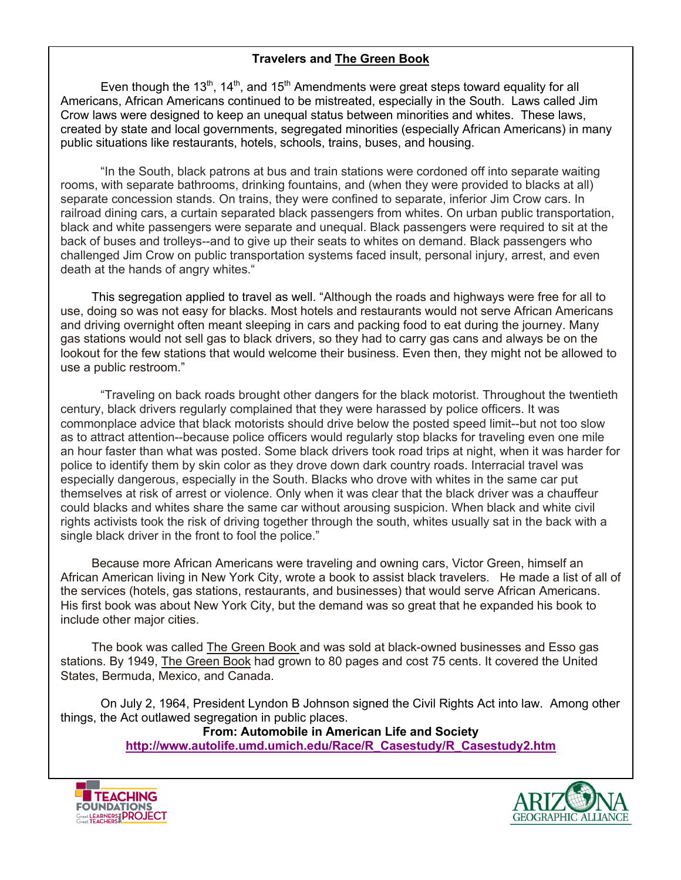#### **Travelers and The Green Book**

Even though the 13<sup>th</sup>, 14<sup>th</sup>, and 15<sup>th</sup> Amendments were great steps toward equality for all Americans, African Americans continued to be mistreated, especially in the South. Laws called Jim Crow laws were designed to keep an unequal status between minorities and whites. These laws, created by state and local governments, segregated minorities (especially African Americans) in many public situations like restaurants, hotels, schools, trains, buses, and housing.

"In the South, black patrons at bus and train stations were cordoned off into separate waiting rooms, with separate bathrooms, drinking fountains, and (when they were provided to blacks at all) separate concession stands. On trains, they were confined to separate, inferior Jim Crow cars. In railroad dining cars, a curtain separated black passengers from whites. On urban public transportation, black and white passengers were separate and unequal. Black passengers were required to sit at the back of buses and trolleys--and to give up their seats to whites on demand. Black passengers who challenged Jim Crow on public transportation systems faced insult, personal injury, arrest, and even death at the hands of angry whites."

This segregation applied to travel as well. "Although the roads and highways were free for all to use, doing so was not easy for blacks. Most hotels and restaurants would not serve African Americans and driving overnight often meant sleeping in cars and packing food to eat during the journey. Many gas stations would not sell gas to black drivers, so they had to carry gas cans and always be on the lookout for the few stations that would welcome their business. Even then, they might not be allowed to use a public restroom."

"Traveling on back roads brought other dangers for the black motorist. Throughout the twentieth century, black drivers regularly complained that they were harassed by police officers. It was commonplace advice that black motorists should drive below the posted speed limit--but not too slow as to attract attention--because police officers would regularly stop blacks for traveling even one mile an hour faster than what was posted. Some black drivers took road trips at night, when it was harder for police to identify them by skin color as they drove down dark country roads. Interracial travel was especially dangerous, especially in the South. Blacks who drove with whites in the same car put themselves at risk of arrest or violence. Only when it was clear that the black driver was a chauffeur could blacks and whites share the same car without arousing suspicion. When black and white civil rights activists took the risk of driving together through the south, whites usually sat in the back with a single black driver in the front to fool the police."

Because more African Americans were traveling and owning cars, Victor Green, himself an African American living in New York City, wrote a book to assist black travelers. He made a list of all of the services (hotels, gas stations, restaurants, and businesses) that would serve African Americans. His first book was about New York City, but the demand was so great that he expanded his book to include other major cities.

The book was called The Green Book and was sold at black-owned businesses and Esso gas stations. By 1949, The Green Book had grown to 80 pages and cost 75 cents. It covered the United States, Bermuda, Mexico, and Canada.

On July 2, 1964, President Lyndon B Johnson signed the Civil Rights Act into law. Among other things, the Act outlawed segregation in public places.

**From: Automobile in American Life and Society http://www.autolife.umd.umich.edu/Race/R\_Casestudy/R\_Casestudy2.htm**



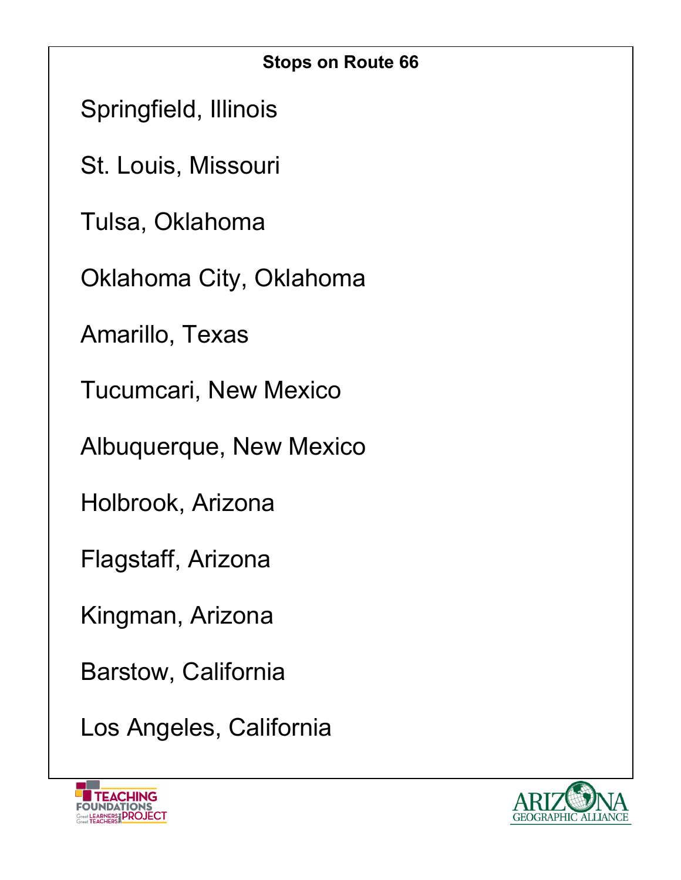| <b>Stops on Route 66</b>     |
|------------------------------|
| Springfield, Illinois        |
| St. Louis, Missouri          |
| Tulsa, Oklahoma              |
| Oklahoma City, Oklahoma      |
| Amarillo, Texas              |
| <b>Tucumcari, New Mexico</b> |
| Albuquerque, New Mexico      |
| Holbrook, Arizona            |
| Flagstaff, Arizona           |
| Kingman, Arizona             |
| Barstow, California          |
| Los Angeles, California      |



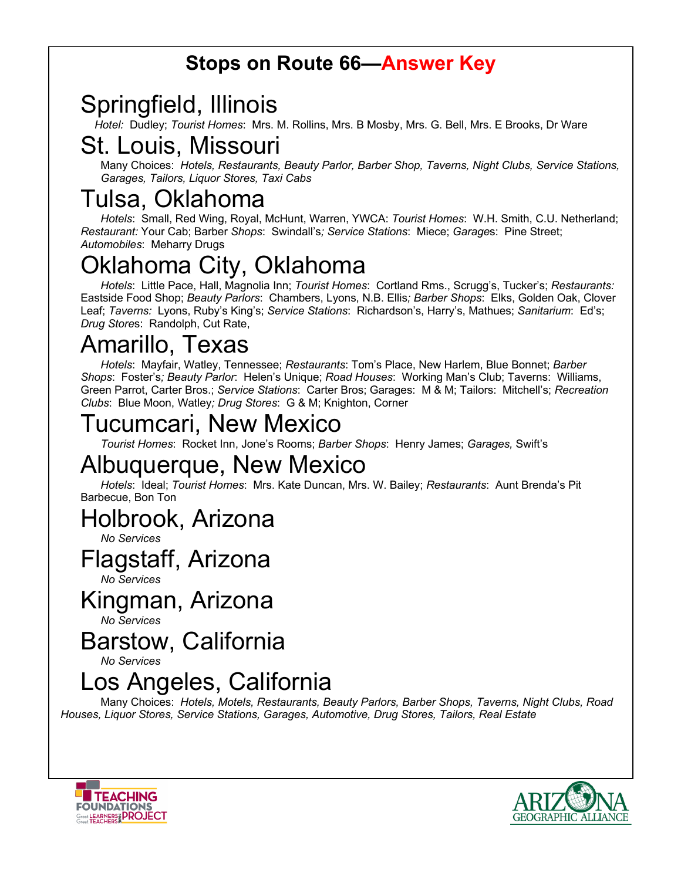#### **Stops on Route 66—Answer Key**

Springfield, Illinois *Hotel:* Dudley; *Tourist Homes*: Mrs. M. Rollins, Mrs. B Mosby, Mrs. G. Bell, Mrs. E Brooks, Dr Ware

#### St. Louis, Missouri

Many Choices: *Hotels, Restaurants, Beauty Parlor, Barber Shop, Taverns, Night Clubs, Service Stations, Garages, Tailors, Liquor Stores, Taxi Cabs*

## Tulsa, Oklahoma

*Hotels*: Small, Red Wing, Royal, McHunt, Warren, YWCA: *Tourist Homes*: W.H. Smith, C.U. Netherland; *Restaurant:* Your Cab; Barber *Shops*: Swindall's*; Service Stations*: Miece; *Garage*s: Pine Street; *Automobiles*: Meharry Drugs

# klahoma City, Oklahoma

*Hotels*: Little Pace, Hall, Magnolia Inn; *Tourist Homes*: Cortland Rms., Scrugg's, Tucker's; *Restaurants:* Eastside Food Shop; *Beauty Parlors*: Chambers, Lyons, N.B. Ellis*; Barber Shops*: Elks, Golden Oak, Clover Leaf; *Taverns:* Lyons, Ruby's King's; *Service Stations*: Richardson's, Harry's, Mathues; *Sanitarium*: Ed's; *Drug Store*s: Randolph, Cut Rate,

# Amarillo, Texas

*Hotels*: Mayfair, Watley, Tennessee; *Restaurants*: Tom's Place, New Harlem, Blue Bonnet; *Barber Shops*: Foster's*; Beauty Parlor*: Helen's Unique; *Road Houses*: Working Man's Club; Taverns: Williams, Green Parrot, Carter Bros.; *Service Stations*: Carter Bros; Garages: M & M; Tailors: Mitchell's; *Recreation Clubs*: Blue Moon, Watley*; Drug Stores*: G & M; Knighton, Corner

#### Tucumcari, New Mexico

*Tourist Homes*: Rocket Inn, Jone's Rooms; *Barber Shops*: Henry James; *Garages,* Swift's

#### Albuquerque, New Mexico

*Hotels*: Ideal; *Tourist Homes*: Mrs. Kate Duncan, Mrs. W. Bailey; *Restaurants*: Aunt Brenda's Pit Barbecue, Bon Ton

#### Holbrook, Arizona

*No Services*

#### Flagstaff, Arizona

*No Services*

#### Kingman, Arizona

*No Services*

#### Barstow, California

*No Services*

### Los Angeles, California

Many Choices: *Hotels, Motels, Restaurants, Beauty Parlors, Barber Shops, Taverns, Night Clubs, Road Houses, Liquor Stores, Service Stations, Garages, Automotive, Drug Stores, Tailors, Real Estate*